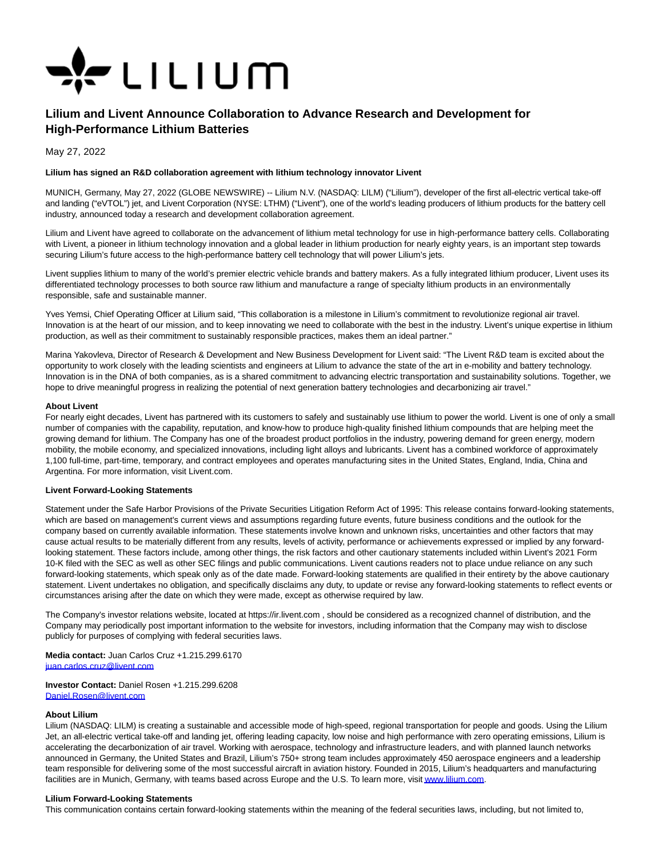

# **Lilium and Livent Announce Collaboration to Advance Research and Development for High-Performance Lithium Batteries**

May 27, 2022

## **Lilium has signed an R&D collaboration agreement with lithium technology innovator Livent**

MUNICH, Germany, May 27, 2022 (GLOBE NEWSWIRE) -- Lilium N.V. (NASDAQ: LILM) ("Lilium"), developer of the first all-electric vertical take-off and landing ("eVTOL") jet, and Livent Corporation (NYSE: LTHM) ("Livent"), one of the world's leading producers of lithium products for the battery cell industry, announced today a research and development collaboration agreement.

Lilium and Livent have agreed to collaborate on the advancement of lithium metal technology for use in high-performance battery cells. Collaborating with Livent, a pioneer in lithium technology innovation and a global leader in lithium production for nearly eighty years, is an important step towards securing Lilium's future access to the high-performance battery cell technology that will power Lilium's jets.

Livent supplies lithium to many of the world's premier electric vehicle brands and battery makers. As a fully integrated lithium producer, Livent uses its differentiated technology processes to both source raw lithium and manufacture a range of specialty lithium products in an environmentally responsible, safe and sustainable manner.

Yves Yemsi, Chief Operating Officer at Lilium said, "This collaboration is a milestone in Lilium's commitment to revolutionize regional air travel. Innovation is at the heart of our mission, and to keep innovating we need to collaborate with the best in the industry. Livent's unique expertise in lithium production, as well as their commitment to sustainably responsible practices, makes them an ideal partner."

Marina Yakovleva, Director of Research & Development and New Business Development for Livent said: "The Livent R&D team is excited about the opportunity to work closely with the leading scientists and engineers at Lilium to advance the state of the art in e-mobility and battery technology. Innovation is in the DNA of both companies, as is a shared commitment to advancing electric transportation and sustainability solutions. Together, we hope to drive meaningful progress in realizing the potential of next generation battery technologies and decarbonizing air travel."

## **About Livent**

For nearly eight decades, Livent has partnered with its customers to safely and sustainably use lithium to power the world. Livent is one of only a small number of companies with the capability, reputation, and know-how to produce high-quality finished lithium compounds that are helping meet the growing demand for lithium. The Company has one of the broadest product portfolios in the industry, powering demand for green energy, modern mobility, the mobile economy, and specialized innovations, including light alloys and lubricants. Livent has a combined workforce of approximately 1,100 full-time, part-time, temporary, and contract employees and operates manufacturing sites in the United States, England, India, China and Argentina. For more information, visit Livent.com.

#### **Livent Forward-Looking Statements**

Statement under the Safe Harbor Provisions of the Private Securities Litigation Reform Act of 1995: This release contains forward-looking statements, which are based on management's current views and assumptions regarding future events, future business conditions and the outlook for the company based on currently available information. These statements involve known and unknown risks, uncertainties and other factors that may cause actual results to be materially different from any results, levels of activity, performance or achievements expressed or implied by any forwardlooking statement. These factors include, among other things, the risk factors and other cautionary statements included within Livent's 2021 Form 10-K filed with the SEC as well as other SEC filings and public communications. Livent cautions readers not to place undue reliance on any such forward-looking statements, which speak only as of the date made. Forward-looking statements are qualified in their entirety by the above cautionary statement. Livent undertakes no obligation, and specifically disclaims any duty, to update or revise any forward-looking statements to reflect events or circumstances arising after the date on which they were made, except as otherwise required by law.

The Company's investor relations website, located at https://ir.livent.com , should be considered as a recognized channel of distribution, and the Company may periodically post important information to the website for investors, including information that the Company may wish to disclose publicly for purposes of complying with federal securities laws.

**Media contact:** Juan Carlos Cruz +1.215.299.6170 [juan.carlos.cruz@livent.com](https://www.globenewswire.com/Tracker?data=d5hF2FH3RnQnN99TZW-vp_HHwA6L4u9PkXUqZQ1H6N4IChzNQLIuYBzdUb67n4V9MY1VCVKC3zx_AgNv1zc9LX7cFKsDvukA9jyqv8NnGh_RJyfXEG7LyagipmHzwQ_M)

**Investor Contact:** Daniel Rosen +1.215.299.6208 [Daniel.Rosen@livent.com](https://www.globenewswire.com/Tracker?data=BrBvfRPVYRDkI1KzJz7iLvYYaFwGLTDKMNvmeGmOwElYvQicGB8w6BQ4I-xoIP7MvMfUHJpih__rw2srrMJusA93m9E1RSssEPnu60Cvgwc=) 

# **About Lilium**

Lilium (NASDAQ: LILM) is creating a sustainable and accessible mode of high-speed, regional transportation for people and goods. Using the Lilium Jet, an all-electric vertical take-off and landing jet, offering leading capacity, low noise and high performance with zero operating emissions, Lilium is accelerating the decarbonization of air travel. Working with aerospace, technology and infrastructure leaders, and with planned launch networks announced in Germany, the United States and Brazil, Lilium's 750+ strong team includes approximately 450 aerospace engineers and a leadership team responsible for delivering some of the most successful aircraft in aviation history. Founded in 2015, Lilium's headquarters and manufacturing facilities are in Munich, Germany, with teams based across Europe and the U.S. To learn more, visit www.lilium.com.

#### **Lilium Forward-Looking Statements**

This communication contains certain forward-looking statements within the meaning of the federal securities laws, including, but not limited to,